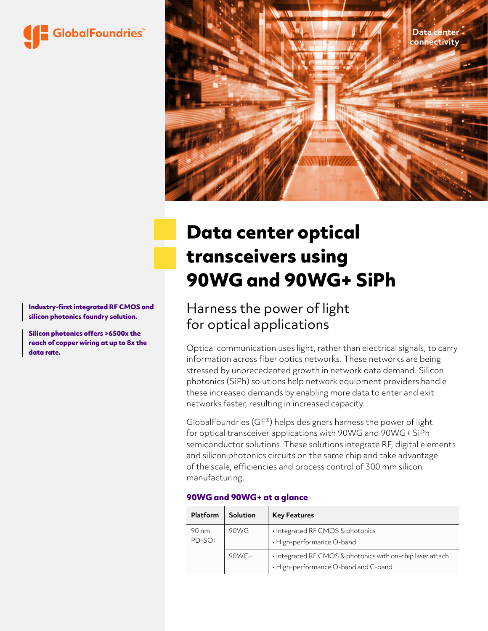



# **Data center optical transceivers using 90WG and 90WG+ SiPh**

## Harness the power of light for optical applications

Optical communication uses light, rather than electrical signals, to carry information across fiber optics networks. These networks are being stressed by unprecedented growth in network data demand. Silicon photonics (SiPh) solutions help network equipment providers handle these increased demands by enabling more data to enter and exit networks faster, resulting in increased capacity.

GlobalFoundries (GF®) helps designers harness the power of light for optical transceiver applications with 90WG and 90WG+ SiPh semiconductor solutions. These solutions integrate RF, digital elements and silicon photonics circuits on the same chip and take advantage of the scale, efficiencies and process control of 300 mm silicon manufacturing.

#### **90WG and 90WG+ at a glance**

| Platform        | Solution | <b>Key Features</b>                                                                                |
|-----------------|----------|----------------------------------------------------------------------------------------------------|
| 90 nm<br>PD-SOI | 90WG     | • Integrated RF CMOS & photonics<br>• High-performance O-band                                      |
|                 | $90W$ G+ | • Integrated RF CMOS & photonics with on-chip laser attach<br>• High-performance O-band and C-band |

**Industry-first integrated RF CMOS and silicon photonics foundry solution.**

**Silicon photonics offers >6500x the reach of copper wiring at up to 8x the data rate.**